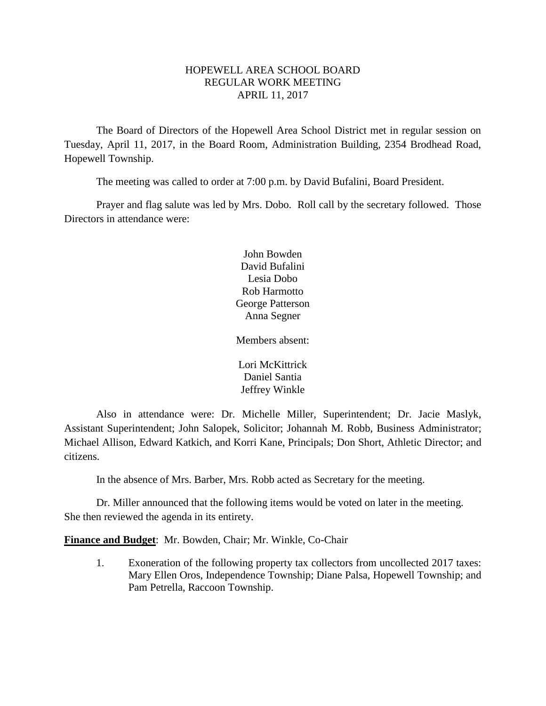## HOPEWELL AREA SCHOOL BOARD REGULAR WORK MEETING APRIL 11, 2017

The Board of Directors of the Hopewell Area School District met in regular session on Tuesday, April 11, 2017, in the Board Room, Administration Building, 2354 Brodhead Road, Hopewell Township.

The meeting was called to order at 7:00 p.m. by David Bufalini, Board President.

Prayer and flag salute was led by Mrs. Dobo. Roll call by the secretary followed. Those Directors in attendance were:

> John Bowden David Bufalini Lesia Dobo Rob Harmotto George Patterson Anna Segner

Members absent:

Lori McKittrick Daniel Santia Jeffrey Winkle

Also in attendance were: Dr. Michelle Miller, Superintendent; Dr. Jacie Maslyk, Assistant Superintendent; John Salopek, Solicitor; Johannah M. Robb, Business Administrator; Michael Allison, Edward Katkich, and Korri Kane, Principals; Don Short, Athletic Director; and citizens.

In the absence of Mrs. Barber, Mrs. Robb acted as Secretary for the meeting.

Dr. Miller announced that the following items would be voted on later in the meeting. She then reviewed the agenda in its entirety.

**Finance and Budget**: Mr. Bowden, Chair; Mr. Winkle, Co-Chair

1. Exoneration of the following property tax collectors from uncollected 2017 taxes: Mary Ellen Oros, Independence Township; Diane Palsa, Hopewell Township; and Pam Petrella, Raccoon Township.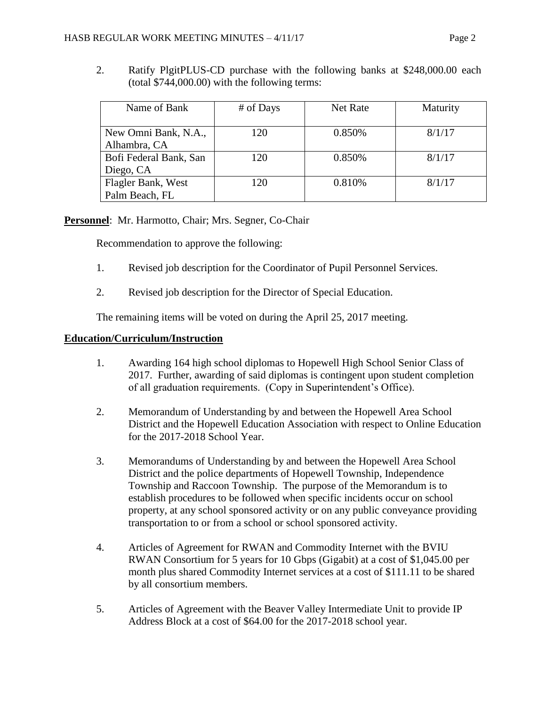- 
- 2. Ratify PlgitPLUS-CD purchase with the following banks at \$248,000.00 each (total \$744,000.00) with the following terms:

| Name of Bank           | # of Days | <b>Net Rate</b> | Maturity |
|------------------------|-----------|-----------------|----------|
|                        |           |                 |          |
| New Omni Bank, N.A.,   | 120       | 0.850%          | 8/1/17   |
| Alhambra, CA           |           |                 |          |
| Bofi Federal Bank, San | 120       | 0.850%          | 8/1/17   |
| Diego, CA              |           |                 |          |
| Flagler Bank, West     | 120       | 0.810%          | 8/1/17   |
| Palm Beach, FL         |           |                 |          |

# **Personnel**: Mr. Harmotto, Chair; Mrs. Segner, Co-Chair

Recommendation to approve the following:

- 1. Revised job description for the Coordinator of Pupil Personnel Services.
- 2. Revised job description for the Director of Special Education.

The remaining items will be voted on during the April 25, 2017 meeting.

### **Education/Curriculum/Instruction**

- 1. Awarding 164 high school diplomas to Hopewell High School Senior Class of 2017. Further, awarding of said diplomas is contingent upon student completion of all graduation requirements. (Copy in Superintendent's Office).
- 2. Memorandum of Understanding by and between the Hopewell Area School District and the Hopewell Education Association with respect to Online Education for the 2017-2018 School Year.
- 3. Memorandums of Understanding by and between the Hopewell Area School District and the police departments of Hopewell Township, Independence Township and Raccoon Township. The purpose of the Memorandum is to establish procedures to be followed when specific incidents occur on school property, at any school sponsored activity or on any public conveyance providing transportation to or from a school or school sponsored activity.
- 4. Articles of Agreement for RWAN and Commodity Internet with the BVIU RWAN Consortium for 5 years for 10 Gbps (Gigabit) at a cost of \$1,045.00 per month plus shared Commodity Internet services at a cost of \$111.11 to be shared by all consortium members.
- 5. Articles of Agreement with the Beaver Valley Intermediate Unit to provide IP Address Block at a cost of \$64.00 for the 2017-2018 school year.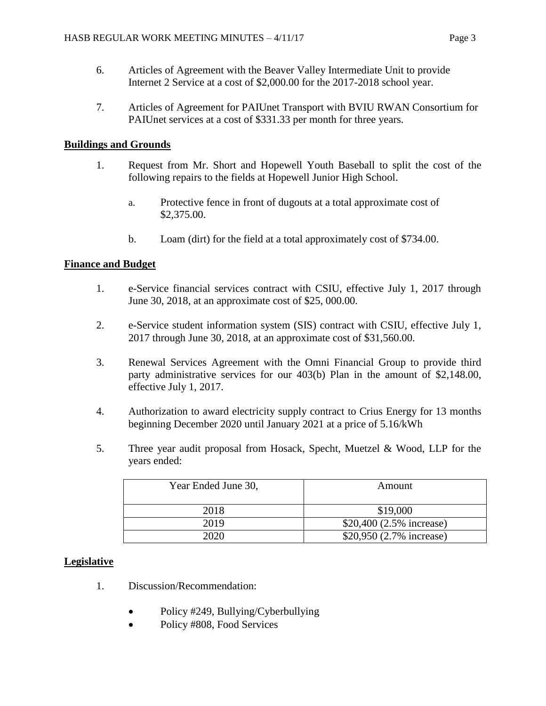- 6. Articles of Agreement with the Beaver Valley Intermediate Unit to provide Internet 2 Service at a cost of \$2,000.00 for the 2017-2018 school year.
- 7. Articles of Agreement for PAIUnet Transport with BVIU RWAN Consortium for PAIUnet services at a cost of \$331.33 per month for three years.

## **Buildings and Grounds**

- 1. Request from Mr. Short and Hopewell Youth Baseball to split the cost of the following repairs to the fields at Hopewell Junior High School.
	- a. Protective fence in front of dugouts at a total approximate cost of \$2,375.00.
	- b. Loam (dirt) for the field at a total approximately cost of \$734.00.

## **Finance and Budget**

- 1. e-Service financial services contract with CSIU, effective July 1, 2017 through June 30, 2018, at an approximate cost of \$25, 000.00.
- 2. e-Service student information system (SIS) contract with CSIU, effective July 1, 2017 through June 30, 2018, at an approximate cost of \$31,560.00.
- 3. Renewal Services Agreement with the Omni Financial Group to provide third party administrative services for our 403(b) Plan in the amount of \$2,148.00, effective July 1, 2017.
- 4. Authorization to award electricity supply contract to Crius Energy for 13 months beginning December 2020 until January 2021 at a price of 5.16/kWh
- 5. Three year audit proposal from Hosack, Specht, Muetzel & Wood, LLP for the years ended:

| Year Ended June 30, | Amount                   |
|---------------------|--------------------------|
| 2018                | \$19,000                 |
| 2019                | \$20,400 (2.5% increase) |
| 2020                | \$20,950 (2.7% increase) |

### **Legislative**

- 1. Discussion/Recommendation:
	- Policy #249, Bullying/Cyberbullying
	- Policy #808, Food Services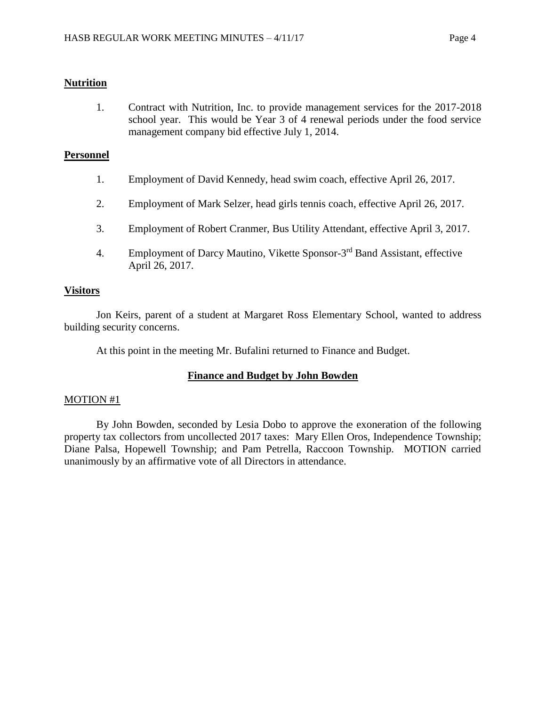#### **Nutrition**

1. Contract with Nutrition, Inc. to provide management services for the 2017-2018 school year. This would be Year 3 of 4 renewal periods under the food service management company bid effective July 1, 2014.

#### **Personnel**

- 1. Employment of David Kennedy, head swim coach, effective April 26, 2017.
- 2. Employment of Mark Selzer, head girls tennis coach, effective April 26, 2017.
- 3. Employment of Robert Cranmer, Bus Utility Attendant, effective April 3, 2017.
- 4. Employment of Darcy Mautino, Vikette Sponsor-3<sup>rd</sup> Band Assistant, effective April 26, 2017.

#### **Visitors**

Jon Keirs, parent of a student at Margaret Ross Elementary School, wanted to address building security concerns.

At this point in the meeting Mr. Bufalini returned to Finance and Budget.

### **Finance and Budget by John Bowden**

#### MOTION #1

By John Bowden, seconded by Lesia Dobo to approve the exoneration of the following property tax collectors from uncollected 2017 taxes: Mary Ellen Oros, Independence Township; Diane Palsa, Hopewell Township; and Pam Petrella, Raccoon Township. MOTION carried unanimously by an affirmative vote of all Directors in attendance.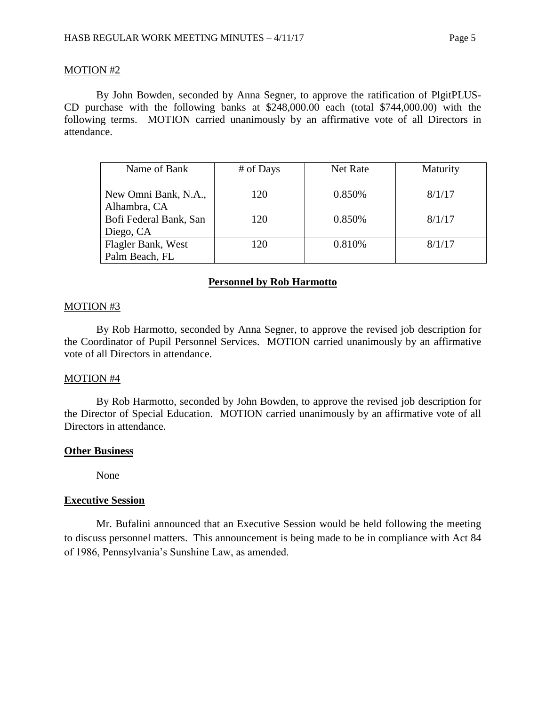#### MOTION #2

By John Bowden, seconded by Anna Segner, to approve the ratification of PlgitPLUS-CD purchase with the following banks at \$248,000.00 each (total \$744,000.00) with the following terms. MOTION carried unanimously by an affirmative vote of all Directors in attendance.

| Name of Bank           | # of Days | Net Rate | Maturity |
|------------------------|-----------|----------|----------|
|                        |           |          |          |
| New Omni Bank, N.A.,   | 120       | 0.850%   | 8/1/17   |
| Alhambra, CA           |           |          |          |
| Bofi Federal Bank, San | 120       | 0.850%   | 8/1/17   |
| Diego, CA              |           |          |          |
| Flagler Bank, West     | 120       | 0.810%   | 8/1/17   |
| Palm Beach, FL         |           |          |          |

#### **Personnel by Rob Harmotto**

#### MOTION #3

By Rob Harmotto, seconded by Anna Segner, to approve the revised job description for the Coordinator of Pupil Personnel Services. MOTION carried unanimously by an affirmative vote of all Directors in attendance.

#### MOTION #4

By Rob Harmotto, seconded by John Bowden, to approve the revised job description for the Director of Special Education. MOTION carried unanimously by an affirmative vote of all Directors in attendance.

#### **Other Business**

None

#### **Executive Session**

Mr. Bufalini announced that an Executive Session would be held following the meeting to discuss personnel matters. This announcement is being made to be in compliance with Act 84 of 1986, Pennsylvania's Sunshine Law, as amended.